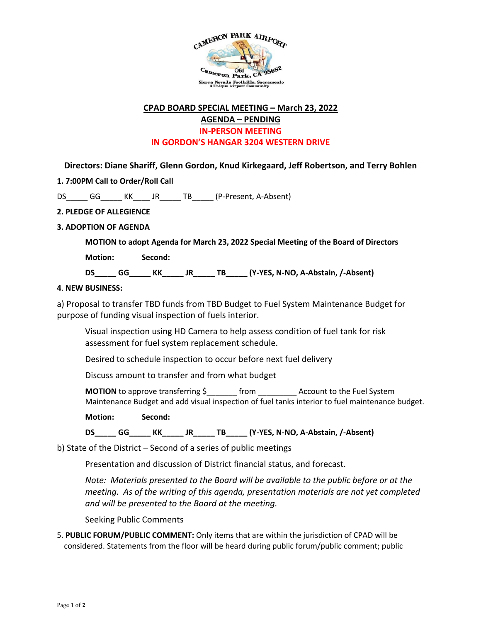

## **CPAD BOARD SPECIAL MEETING – March 23, 2022 AGENDA – PENDING IN-PERSON MEETING IN GORDON'S HANGAR 3204 WESTERN DRIVE**

**Directors: Diane Shariff, Glenn Gordon, Knud Kirkegaard, Jeff Robertson, and Terry Bohlen**

**1. 7:00PM Call to Order/Roll Call**

DS<sub>G</sub>GKK<sub>JR</sub>TB<sub>(P-Present, A-Absent)</sub>

- **2. PLEDGE OF ALLEGIENCE**
- **3. ADOPTION OF AGENDA**

**MOTION to adopt Agenda for March 23, 2022 Special Meeting of the Board of Directors** 

**Motion: Second:** 

**DS\_\_\_\_\_ GG\_\_\_\_\_ KK\_\_\_\_\_ JR\_\_\_\_\_ TB\_\_\_\_\_ (Y-YES, N-NO, A-Abstain, /-Absent)** 

## **4**. **NEW BUSINESS:**

a) Proposal to transfer TBD funds from TBD Budget to Fuel System Maintenance Budget for purpose of funding visual inspection of fuels interior.

Visual inspection using HD Camera to help assess condition of fuel tank for risk assessment for fuel system replacement schedule.

Desired to schedule inspection to occur before next fuel delivery

Discuss amount to transfer and from what budget

**MOTION** to approve transferring  $\zeta$  from  $\zeta$  Account to the Fuel System Maintenance Budget and add visual inspection of fuel tanks interior to fuel maintenance budget.

**Motion: Second:**

**DS\_\_\_\_\_ GG\_\_\_\_\_ KK\_\_\_\_\_ JR\_\_\_\_\_ TB\_\_\_\_\_ (Y-YES, N-NO, A-Abstain, /-Absent)** 

b) State of the District – Second of a series of public meetings

Presentation and discussion of District financial status, and forecast.

*Note: Materials presented to the Board will be available to the public before or at the meeting. As of the writing of this agenda, presentation materials are not yet completed and will be presented to the Board at the meeting.*

Seeking Public Comments

5. **PUBLIC FORUM/PUBLIC COMMENT:** Only items that are within the jurisdiction of CPAD will be considered. Statements from the floor will be heard during public forum/public comment; public